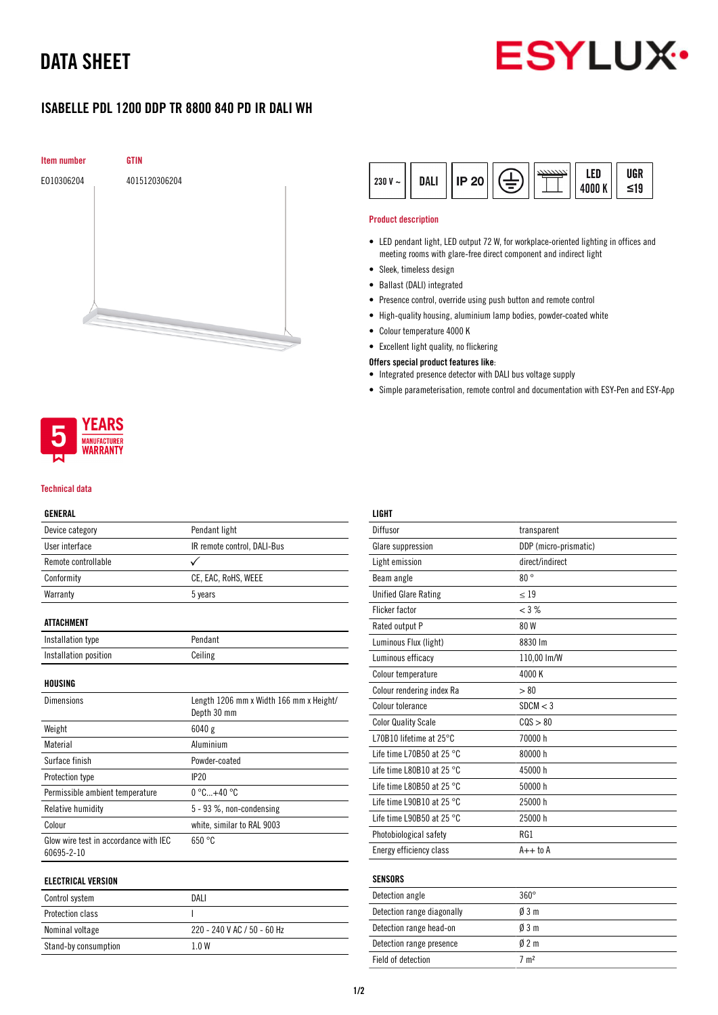## DATA SHEET



## ISABELLE PDL 1200 DDP TR 8800 840 PD IR DALI WH





#### Technical data

#### GENERAL

| Device category                                     | Pendant light                                          |
|-----------------------------------------------------|--------------------------------------------------------|
| User interface                                      | IR remote control, DALI-Bus                            |
| Remote controllable                                 | ✓                                                      |
| Conformity                                          | CE, EAC, RoHS, WEEE                                    |
| Warranty                                            | 5 years                                                |
|                                                     |                                                        |
| ATTACHMENT                                          |                                                        |
| Installation type                                   | Pendant                                                |
| Installation position                               | Ceiling                                                |
|                                                     |                                                        |
| HOUSING                                             |                                                        |
| <b>Dimensions</b>                                   | Length 1206 mm x Width 166 mm x Height/<br>Depth 30 mm |
| Weight                                              | 6040g                                                  |
| Material                                            | Aluminium                                              |
| Surface finish                                      | Powder-coated                                          |
| Protection type                                     | IP20                                                   |
| Permissible ambient temperature                     | $0^{\circ}$ C+40 $^{\circ}$ C                          |
| <b>Relative humidity</b>                            | 5 - 93 %, non-condensing                               |
| Colour                                              | white, similar to RAL 9003                             |
| Glow wire test in accordance with IEC<br>60695-2-10 | 650 °C                                                 |
| ELECTRICAL VERSION                                  |                                                        |

| Control system   | DAI I |
|------------------|-------|
| Protection class |       |

| <b>OUTILIUI UTULUITI</b> | .                           |
|--------------------------|-----------------------------|
| Protection class         |                             |
| Nominal voltage          | 220 - 240 V AC / 50 - 60 Hz |
| Stand-by consumption     |                             |
|                          |                             |

| $230 V -$ | <b>DALI</b> | <b>IP 20</b> |  |  | ED<br>4000 K | UGR<br>≤19 |
|-----------|-------------|--------------|--|--|--------------|------------|
|-----------|-------------|--------------|--|--|--------------|------------|

#### Product description

- LED pendant light, LED output 72 W, for workplace-oriented lighting in offices and meeting rooms with glare-free direct component and indirect light
- Sleek, timeless design
- Ballast (DALI) integrated
- Presence control, override using push button and remote control
- High-quality housing, aluminium lamp bodies, powder-coated white
- Colour temperature 4000 K
- Excellent light quality, no flickering

### Offers special product features like:

- Integrated presence detector with DALI bus voltage supply
- Simple parameterisation, remote control and documentation with ESY-Pen and ESY-App

| LIGHT                               |                       |
|-------------------------------------|-----------------------|
| Diffusor                            | transparent           |
| Glare suppression                   | DDP (micro-prismatic) |
| Light emission                      | direct/indirect       |
| Beam angle                          | $80^{\circ}$          |
| <b>Unified Glare Rating</b>         | $\leq 19$             |
| <b>Flicker factor</b>               | < 3 %                 |
| Rated output P                      | 80 W                  |
| Luminous Flux (light)               | 8830 lm               |
| Luminous efficacy                   | 110,00 lm/W           |
| Colour temperature                  | 4000 K                |
| Colour rendering index Ra           | > 80                  |
| Colour tolerance                    | SDCM < 3              |
| <b>Color Quality Scale</b>          | COS > 80              |
| L70B10 lifetime at 25°C             | 70000 h               |
| Life time L70B50 at 25 $^{\circ}$ C | 80000 h               |
| Life time L80B10 at 25 °C           | 45000 h               |
| Life time L80B50 at 25 $^{\circ}$ C | 50000 h               |
| Life time L90B10 at 25 $^{\circ}$ C | 25000 h               |
| Life time L90B50 at 25 °C           | 25000 h               |
| Photobiological safety              | RG1                   |
| Energy efficiency class             | $A++$ to $A$          |
| <b>SENSORS</b>                      |                       |
| Detection angle                     | $360^\circ$           |
| Detection range diagonally          | $0/3$ m               |
| Detection range head-on             | $\emptyset$ 3 m       |
| Detection range presence            | $0/2$ m               |

Field of detection  $7 \text{ m}^2$